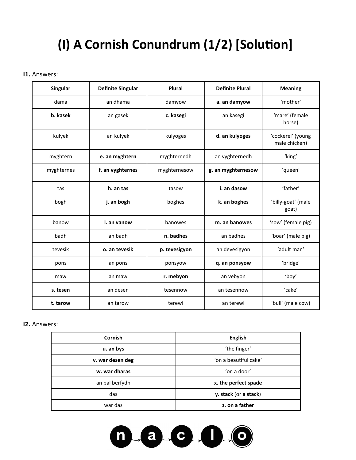# **(I) A Cornish Conundrum (1/2) [Solution]**

#### **I1.** Answers:

| <b>Singular</b> | <b>Definite Singular</b> | Plural        | <b>Definite Plural</b> | <b>Meaning</b>                     |
|-----------------|--------------------------|---------------|------------------------|------------------------------------|
| dama            | an dhama                 | damyow        | a. an damyow           | 'mother'                           |
| b. kasek        | an gasek                 | c. kasegi     | an kasegi              | 'mare' (female<br>horse)           |
| kulyek          | an kulyek                | kulyoges      | d. an kulyoges         | 'cockerel' (young<br>male chicken) |
| myghtern        | e. an myghtern           | myghternedh   | an vyghternedh         | 'king'                             |
| myghternes      | f. an vyghternes         | myghternesow  | g. an myghternesow     | 'queen'                            |
| tas             | h. an tas                | tasow         | i. an dasow            | 'father'                           |
| bogh            | j. an bogh               | boghes        | k. an boghes           | 'billy-goat' (male<br>goat)        |
| banow           | I. an vanow              | banowes       | m. an banowes          | 'sow' (female pig)                 |
| badh            | an badh                  | n. badhes     | an badhes              | 'boar' (male pig)                  |
| tevesik         | o. an tevesik            | p. tevesigyon | an devesigyon          | 'adult man'                        |
| pons            | an pons                  | ponsyow       | q. an ponsyow          | 'bridge'                           |
| maw             | an maw                   | r. mebyon     | an vebyon              | 'boy'                              |
| s. tesen        | an desen                 | tesennow      | an tesennow            | 'cake'                             |
| t. tarow        | an tarow                 | terewi        | an terewi              | 'bull' (male cow)                  |

#### **I2.** Answers:

| Cornish          | English               |  |
|------------------|-----------------------|--|
| u. an bys        | 'the finger'          |  |
| v. war desen deg | 'on a beautiful cake' |  |
| w. war dharas    | 'on a door'           |  |
| an bal berfydh   | x. the perfect spade  |  |
| das              | y. stack (or a stack) |  |
| war das          | z. on a father        |  |